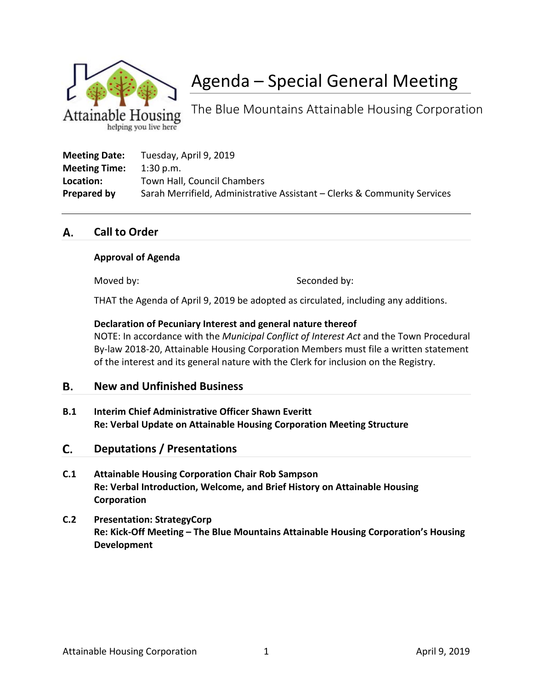

# Agenda – Special General Meeting

The Blue Mountains Attainable Housing Corporation

| <b>Meeting Date:</b> | Tuesday, April 9, 2019                                                   |
|----------------------|--------------------------------------------------------------------------|
| <b>Meeting Time:</b> | $1:30$ p.m.                                                              |
| Location:            | Town Hall, Council Chambers                                              |
| Prepared by          | Sarah Merrifield, Administrative Assistant – Clerks & Community Services |

#### **Call to Order** А.

### **Approval of Agenda**

Moved by: Seconded by:

THAT the Agenda of April 9, 2019 be adopted as circulated, including any additions.

### **Declaration of Pecuniary Interest and general nature thereof**

NOTE: In accordance with the *Municipal Conflict of Interest Act* and the Town Procedural By-law 2018-20, Attainable Housing Corporation Members must file a written statement of the interest and its general nature with the Clerk for inclusion on the Registry.

#### В. **New and Unfinished Business**

**B.1 Interim Chief Administrative Officer Shawn Everitt Re: Verbal Update on Attainable Housing Corporation Meeting Structure**

#### **Deputations / Presentations** C.

- **C.1 Attainable Housing Corporation Chair Rob Sampson Re: Verbal Introduction, Welcome, and Brief History on Attainable Housing Corporation**
- **C.2 Presentation: StrategyCorp Re: Kick-Off Meeting – The Blue Mountains Attainable Housing Corporation's Housing Development**